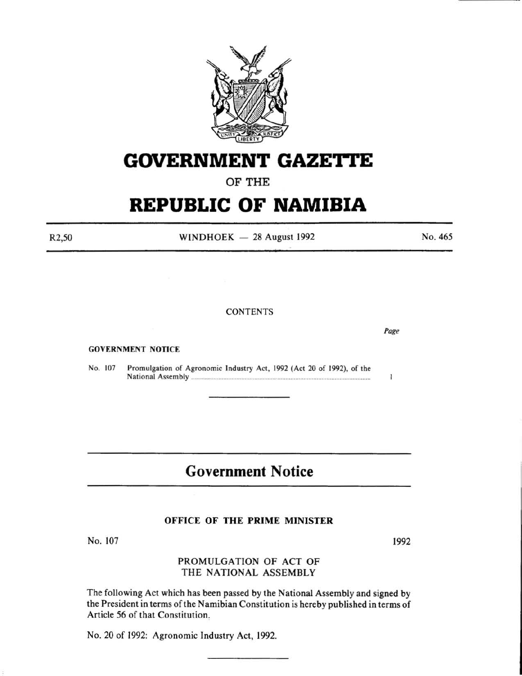

# **GOVERNMENT GAZETTE**

# OF THE

# **REPUBLIC OF NAMIBIA**

R2,50

WINDHOEK  $-28$  August 1992

### **CONTENTS**

GOVERNMENT NOTICE

No. 107 Promulgation of Agronomic Industry Act, 1992 (Act 20 of 1992), of the National As~embly ............................................................................................................. .

# **Government Notice**

### OFFICE OF THE PRIME MINISTER

No. 107

# PROMULGATION OF ACT OF THE NATIONAL ASSEMBLY

The following Act which has been passed by the National Assembly and signed by the President in terms of the Namibian Constitution is hereby published in terms of Article 56 of that Constitution.

No. 20 of 1992: Agronomic Industry Act, 1992.

1992

*Page* 

 $\mathbf{I}$ 

No. 465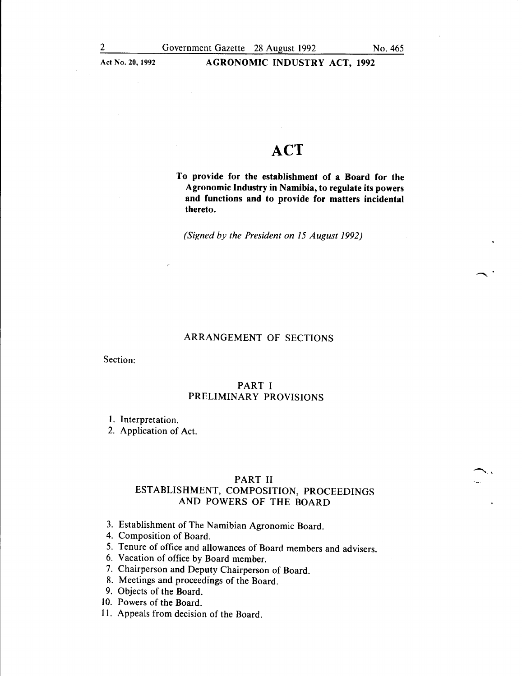$\lambda$ .

### Act No. 20, 1992 <br>AGRONOMIC INDUSTRY ACT, 1992

# **ACT**

To provide for the establishment of a Board for the Agronomic Industry in Namibia, to regulate its powers and functions and to provide for matters incidental thereto.

*(Signed by the President on 15 August 1992)* 

### ARRANGEMENT OF SECTIONS

Section:

### PART I PRELIMINARY PROVISIONS

### 1. Interpretation.

2. Application of Act.

#### PART II

# ESTABLISHMENT, COMPOSITION, PROCEEDINGS AND POWERS OF THE BOARD

- 3. Establishment of The Namibian Agronomic Board.
- 4. Composition of Board.
- 5. Tenure of office and allowances of Board members and advisers.
- 6. Vacation of office by Board member.
- 7. Chairperson and Deputy Chairperson of Board.
- 8. Meetings and proceedings of the Board.
- 9. Objects of the Board.
- 10. Powers of the Board.
- 11. Appeals from decision of the Board.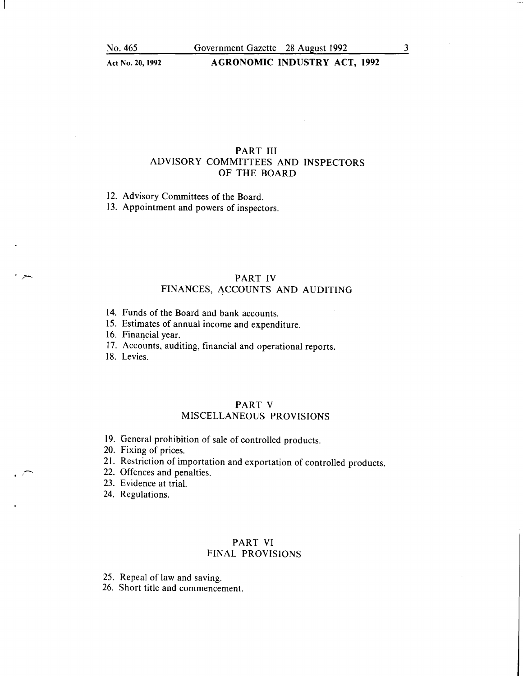## PART III ADVISORY COMMITTEES AND INSPECTORS OF THE BOARD

12. Advisory Committees of the Board.

13. Appointment and powers of inspectors.

# PART IV FINANCES, ACCOUNTS AND AUDITING

- 14. Funds of the Board and bank accounts.
- 15. Estimates of annual income and expenditure.
- 16. Financial year.
- 17. Accounts, auditing, financial and operational reports.
- 18. Levies.

# PART V

# MISCELLANEOUS PROVISIONS

- 19. General prohibition of sale of controlled products.
- 20. Fixing of prices.
- 21. Restriction of importation and exportation of controlled products.
- 22. Offences and penalties.
- 23. Evidence at trial.
- 24. Regulations.

## PART VI FINAL PROVISIONS

25. Repeal of law and saving.

26. Short title and commencement.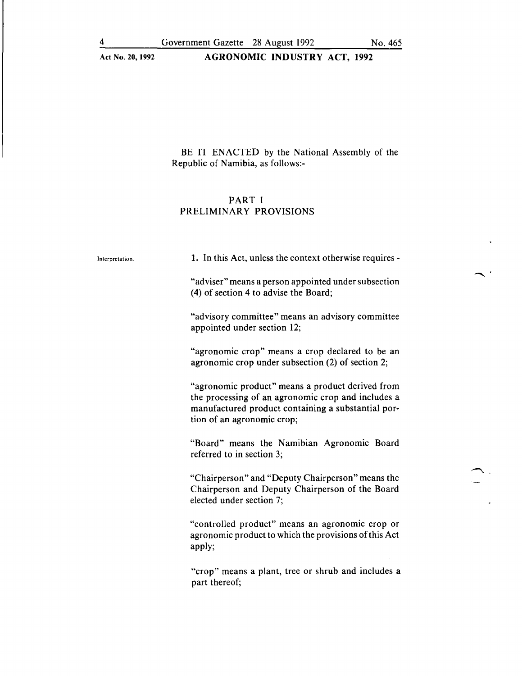# Act No. 20, 1992 <br>
AGRONOMIC INDUSTRY ACT, 1992

BE IT ENACTED by the National Assembly of the Republic of Namibia, as follows:-

# PART I PRELIMINARY PROVISIONS

| Interpretation. | 1. In this Act, unless the context otherwise requires -                                                                                                                                    |
|-----------------|--------------------------------------------------------------------------------------------------------------------------------------------------------------------------------------------|
|                 | "adviser" means a person appointed under subsection<br>(4) of section 4 to advise the Board;                                                                                               |
|                 | "advisory committee" means an advisory committee<br>appointed under section 12;                                                                                                            |
|                 | "agronomic crop" means a crop declared to be an<br>agronomic crop under subsection (2) of section 2;                                                                                       |
|                 | "agronomic product" means a product derived from<br>the processing of an agronomic crop and includes a<br>manufactured product containing a substantial por-<br>tion of an agronomic crop; |
|                 | "Board" means the Namibian Agronomic Board<br>referred to in section 3;                                                                                                                    |
|                 | "Chairperson" and "Deputy Chairperson" means the<br>Chairperson and Deputy Chairperson of the Board<br>elected under section 7;                                                            |
|                 | "controlled product" means an agronomic crop or<br>agronomic product to which the provisions of this Act<br>apply;                                                                         |
|                 | "crop" means a plant, tree or shrub and includes a<br>part thereof;                                                                                                                        |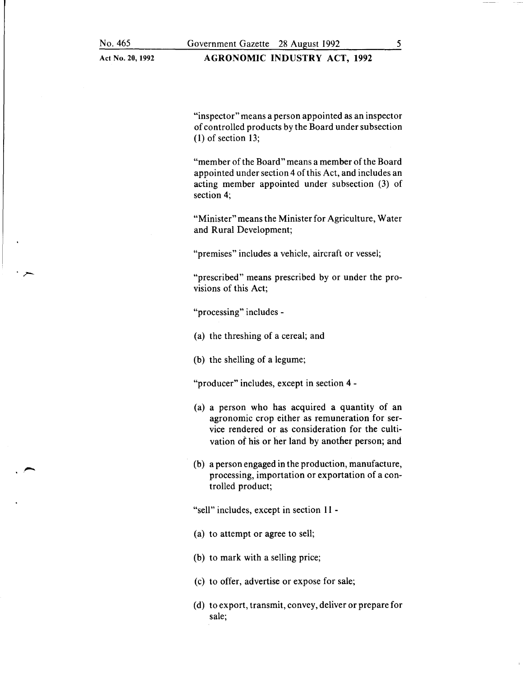# AGRONOMIC INDUSTRY ACT, 1992

"inspector" means a person appointed as an inspector of controlled products by the Board under subsection (1) of section 13;

"member of the Board" means a member of the Board appointed under section 4 of this Act, and includes an acting member appointed under subsection (3) of section 4;

"Minister" means the Minister for Agriculture, Water and Rural Development;

"premises" includes a vehicle, aircraft or vessel;

"prescribed" means prescribed by or under the provisions of this Act;

"processing" includes -

- (a) the threshing of a cereal; and
- (b) the shelling of a legume;

"producer" includes, except in section 4-

- (a) a person who has acquired a quantity of an agronomic crop either as remuneration for service rendered or as consideration for the cultivation of his or her land by another person; and
- (b) a person engaged in the production, manufacture, processing, importation or exportation of a controlled product;

"sell" includes, except in section 11 -

- (a) to attempt or agree to sell;
- (b) to mark with a selling price;
- (c) to offer, advertise or expose for sale;
- (d) to export, transmit, convey, deliver or prepare for sale;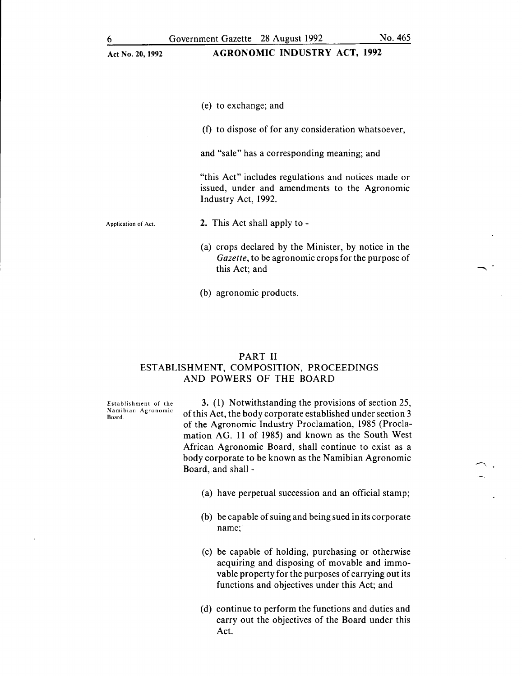### Act No. 20,1992 AGRONOMIC INDUSTRY ACT, 1992

(e) to exchange; and

(f) to dispose of for any consideration whatsoever,

and "sale" has a corresponding meaning; and

"this Act" includes regulations and notices made or issued, under and amendments to the Agronomic Industry Act, 1992.

Application of Act. 2. This Act shall apply to -

- (a) crops declared by the Minister, by notice in the *Gazette,* to be agronomic crops for the purpose of this Act; and
- (b) agronomic products.

## PART II ESTABLISHMENT, COMPOSITION, PROCEEDINGS AND POWERS OF THE BOARD

Establishment of the Namibian Agronomic Board.

3. (l) Notwithstanding the provisions of section 25, of this Act, the body corporate established under section 3 of the Agronomic Industry Proclamation, 1985 (Proclamation AG. 11 of 1985) and known as the South West African Agronomic Board, shall continue to exist as a body corporate to be known as the Namibian Agronomic Board, and shall -

- (a) have perpetual succession and an official stamp;
- (b) be capable of suing and being sued in its corporate name;
- (c) be capable of holding, purchasing or otherwise acquiring and disposing of movable and immovable property for the purposes of carrying out its functions and objectives under this Act; and
- (d) continue to perform the functions and duties and carry out the objectives of the Board under this Act.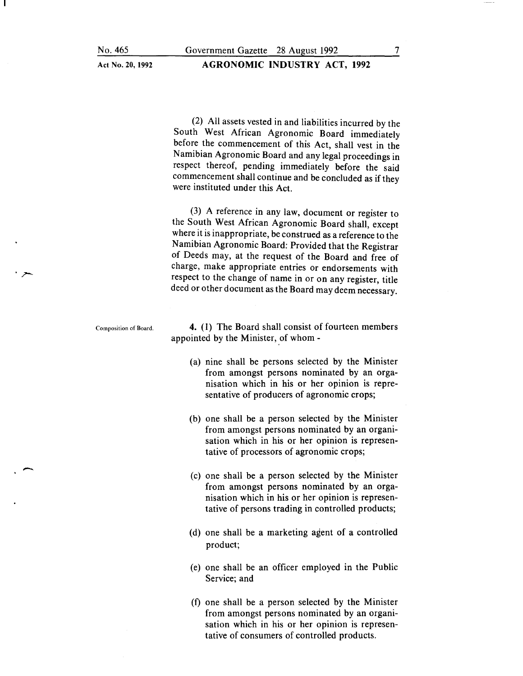### AGRONOMIC INDUSTRY ACT, 1992

(2) All assets vested in and liabilities incurred by the South West African Agronomic Board immediately before the commencement of this Act, shall vest in the Namibian Agronomic Board and any legal proceedings in respect thereof, pending immediately before the said commencement shall continue and be concluded as if they were instituted under this Act.

(3) A reference in any law, document or register to the South West African Agronomic Board shall, except where it is inappropriate, be construed as a reference to the Namibian Agronomic Board: Provided that the Registrar of Deeds may, at the request of the Board and free of charge, make appropriate entries or endorsements with respect to the change of name in or on any register, title deed or other document as the Board may deem necessary.

Composition of Board.

-

4. (1) The Board shall consist of fourteen members appointed by the Minister, of whom -

- (a) nine shall be persons selected by the Minister from amongst persons nominated by an organisation which in his or her opinion is representative of producers of agronomic crops;
- (b) one shall be a person selected by the Minister from amongst persons nominated by an organisation which in his or her opinion is representative of processors of agronomic crops;
- (c) one shall be a person selected by the Minister from amongst persons nominated by an organisation which in his or her opinion is representative of persons trading in controlled products;
- (d) one shall be a marketing agent of a controlled product;
- (e) one shall be an officer employed in the Public Service; and
- (f) one shall be a person selected by the Minister from amongst persons nominated by an organisation which in his or her opinion is representative of consumers of controlled products.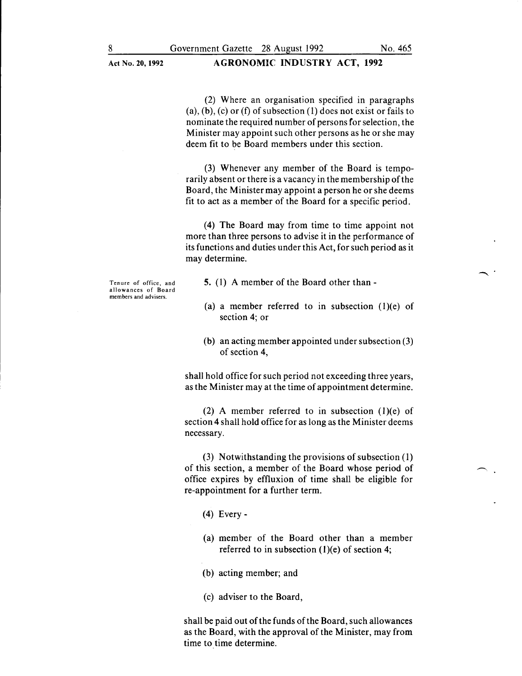(2) Where an organisation specified in paragraphs (a), (b), (c) or (f) of subsection (1) does not exist or fails to nominate the required number of persons for selection, the Minister may appoint such other persons as he or she may deem fit to be Board members under this section.

(3) Whenever any member of the Board is temporarily absent or there is a vacancy in the membership of the Board, the Minister may appoint a person he or she deems fit to act as a member of the Board for a specific period.

(4) The Board may from time to time appoint not more than three persons to advise it in the performance of its functions and duties under this Act, for such period as it may determine.

Tenure of office, and allowances of Board members and advisers.

5. (1) A member of the Board other than -

- (a) a member referred to in subsection (1)(e) of section 4; or
- (b) an acting member appointed under subsection (3) of section 4,

shall hold office for such period not exceeding three years, as the Minister may at the time of appointment determine.

(2) A member referred to in subsection  $(1)(e)$  of section 4 shall hold office for as long as the Minister deems necessary.

(3) Notwithstanding the provisions of subsection ( 1) of this section, a member of the Board whose period of office expires by effluxion of time shall be eligible for re-appointment for a further term.

- (4) Every-
- (a) member of the Board other than a member referred to in subsection  $(1)(e)$  of section 4;
- (b) acting member; and
- (c) adviser to the Board,

shall be paid out of the funds of the Board, such allowances as the Board, with the approval of the Minister, may from time to time determine.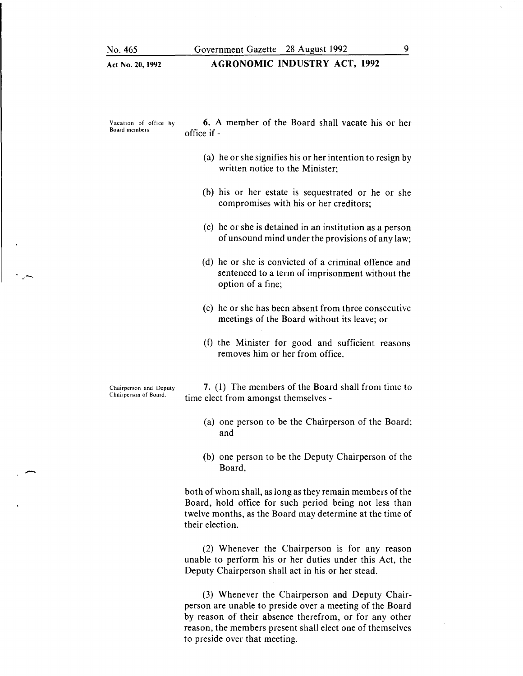#### AGRONOMIC INDUSTRY ACT, 1992

Vacation of office by Board members.

6. A member of the Board shall vacate his or her office if-

- (a) he or she signifies his or her intention to resign by written notice to the Minister;
- (b) his or her estate is sequestrated or he or she compromises with his or her creditors;
- (c) he or she is detained in an institution as a person of unsound mind under the provisions of any law;
- (d) he or she is convicted of a criminal offence and sentenced to a term of imprisonment without the option of a fine;
- (e) he or she has been absent from three consecutive meetings of the Board without its leave; or
- (f) the Minister for good and sufficient reasons removes him or her from office.

Chairperson and Deputy Chairperson of Board.

 $\cdot$   $\sim$ 

-

7. (I) The members of the Board shall from time to time elect from amongst themselves -

- (a) one person to be the Chairperson of the Board; and
- (b) one person to be the Deputy Chairperson of the Board,

both of whom shall, as long as they remain members of the Board, hold office for such period being not less than twelve months, as the Board may determine at the time of their election.

(2) Whenever the Chairperson is for any reason unable to perform his or her duties under this Act, the Deputy Chairperson shall act in his or her stead.

(3) Whenever the Chairperson and Deputy Chairperson are unable to preside over a meeting of the Board by reason of their absence therefrom, or for any other reason, the members present shall elect one of themselves to preside over that meeting.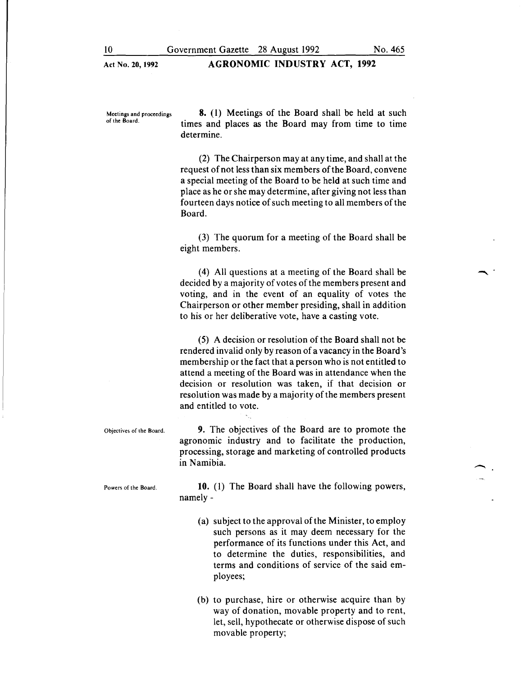Meetings and proceedings of the Board.

**8.** (I) Meetings of the Board shall be held at such times and places as the Board may from time to time determine.

(2) The Chairperson may at any time, and shall at the request of not less than six members of the Board, convene a special meeting of the Board to be held at such time and place as he or she may determine, after giving not less than fourteen days notice of such meeting to all members of the Board.

(3) The quorum for a meeting of the Board shall be eight members.

( 4) All questions at a meeting of the Board shall be decided by a majority of votes of the members present and voting, and in the event of an equality of votes the Chairperson or other member presiding, shall in addition to his or her deliberative vote, have a casting vote.

( 5) A decision or resolution of the Board shall not be rendered invalid only by reason of a vacancy in the Board's membership or the fact that a person who is not entitled to attend a meeting of the Board was in attendance when the decision or resolution was taken, if that decision or resolution was made by a majority of the members present and entitled to vote.

Objectives of the Board. **9.** The objectives of the Board are to promote the agronomic industry and to facilitate the production, processing, storage and marketing of controlled products in Namibia.

Powers of the Board.

**10.** (I) The Board shall have the following powers, namely-

- (a) subject to the approval of the Minister, to employ such persons as it may deem necessary for the performance of its functions under this Act, and to determine the duties, responsibilities, and terms and conditions of service of the said employees;
- (b) to purchase, hire or otherwise acquire than by way of donation, movable property and to rent, let, sell, hypothecate or otherwise dispose of such movable property;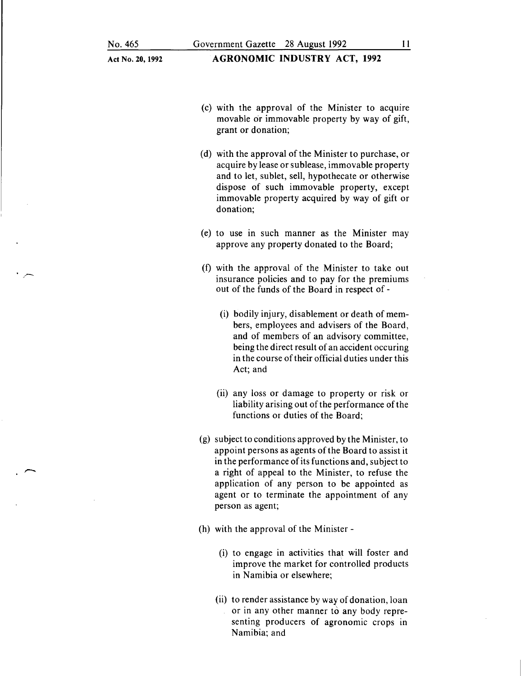- (c) with the approval of the Minister to acquire movable or immovable property by way of gift, grant or donation;
- (d) with the approval of the Minister to purchase, or acquire by lease or sublease, immovable property and to let, sublet, sell, hypothecate or otherwise dispose of such immovable property, except immovable property acquired by way of gift or donation;
- (e) to use in such manner as the Minister may approve any property donated to the Board;
- (f) with the approval of the Minister to take out insurance policies and to pay for the premiums out of the funds of the Board in respect of -
	- (i) bodily injury, disablement or death of members, employees and advisers of the Board, and of members of an advisory committee, being the direct result of an accident occuring in the course of their official duties under this Act; and
	- (ii) any loss or damage to property or risk or liability arising out of the performance of the functions or duties of the Board;
- (g) subject to conditions approved by the Minister, to appoint persons as agents of the Board to assist it in the performance of its functions and, subject to a right of appeal to the Minister, to refuse the application of any person to be appointed as agent or to terminate the appointment of any person as agent;
- (h) with the approval of the Minister
	- (i) to engage in activities that will foster and improve the market for controlled products in Namibia or elsewhere;
	- (ii) to render assistance by way of donation, loan or in any other manner to any body representing producers of agronomic crops in Namibia; and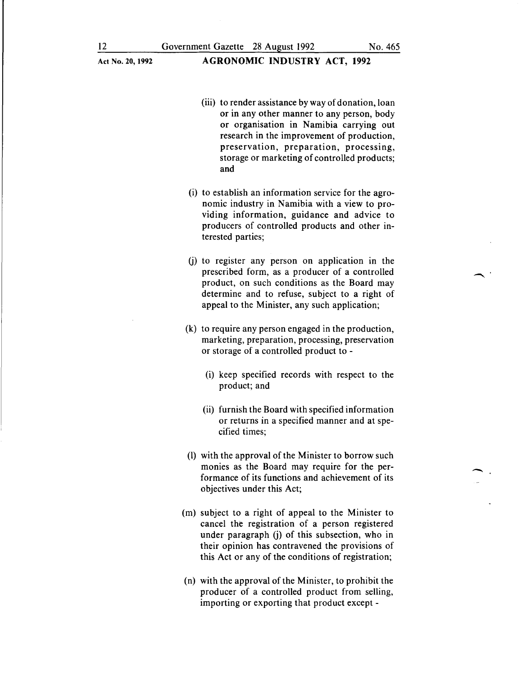- (iii) to render assistance by way of donation, loan or in any other manner to any person, body or organisation in Namibia carrying out research in the improvement of production, preservation, preparation, processing, storage or marketing of controlled products; and
- (i) to establish an information service for the agronomic industry in Namibia with a view to providing information, guidance and advice to producers of controlled products and other interested parties;
- (j) to register any person on application in the prescribed form, as a producer of a controlled product, on such conditions as the Board may determine and to refuse, subject to a right of appeal to the Minister, any such application;
- (k) to require any person engaged in the production, marketing, preparation, processing, preservation or storage of a controlled product to -
	- (i) keep specified records with respect to the product; and
	- (ii) furnish the Board with specified information or returns in a specified manner and at specified times;
- (1) with the approval of the Minister to borrow such monies as the Board may require for the performance of its functions and achievement of its objectives under this Act;
- (m) subject to a right of appeal to the Minister to cancel the registration of a person registered under paragraph (j) of this subsection, who in their opinion has contravened the provisions of this Act or any of the conditions of registration;
- (n) with the approval of the Minister, to prohibit the producer of a controlled product from selling, importing or exporting that product except-

-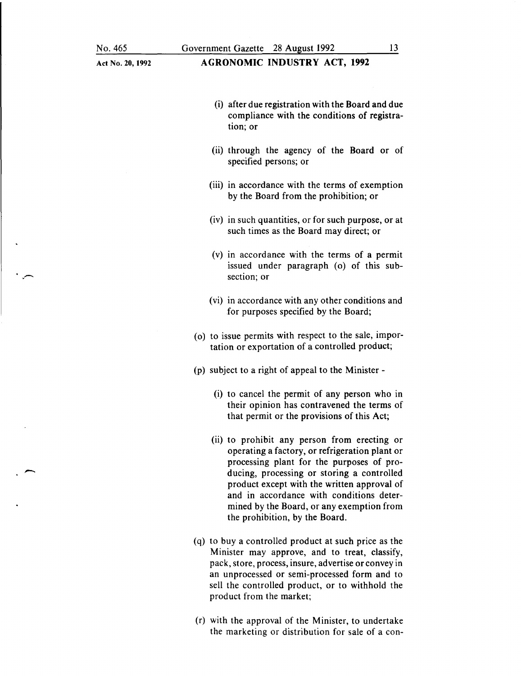-

 $\ddot{\cdot}$ 

| Act No. 20, 1992 | <b>AGRONOMIC INDUSTRY ACT, 1992</b>                                                                                                                                                                                                                                                                                                                                 |
|------------------|---------------------------------------------------------------------------------------------------------------------------------------------------------------------------------------------------------------------------------------------------------------------------------------------------------------------------------------------------------------------|
|                  | (i) after due registration with the Board and due<br>compliance with the conditions of registra-<br>tion; or                                                                                                                                                                                                                                                        |
|                  | (ii) through the agency of the Board or of<br>specified persons; or                                                                                                                                                                                                                                                                                                 |
|                  | (iii) in accordance with the terms of exemption<br>by the Board from the prohibition; or                                                                                                                                                                                                                                                                            |
|                  | (iv) in such quantities, or for such purpose, or at<br>such times as the Board may direct; or                                                                                                                                                                                                                                                                       |
|                  | (v) in accordance with the terms of a permit<br>issued under paragraph (o) of this sub-<br>section; or                                                                                                                                                                                                                                                              |
|                  | (vi) in accordance with any other conditions and<br>for purposes specified by the Board;                                                                                                                                                                                                                                                                            |
|                  | (o) to issue permits with respect to the sale, impor-<br>tation or exportation of a controlled product;                                                                                                                                                                                                                                                             |
|                  | (p) subject to a right of appeal to the Minister -                                                                                                                                                                                                                                                                                                                  |
|                  | (i) to cancel the permit of any person who in<br>their opinion has contravened the terms of<br>that permit or the provisions of this Act;                                                                                                                                                                                                                           |
|                  | (ii) to prohibit any person from erecting or<br>operating a factory, or refrigeration plant or<br>processing plant for the purposes of pro-<br>ducing, processing or storing a controlled<br>product except with the written approval of<br>and in accordance with conditions deter-<br>mined by the Board, or any exemption from<br>the prohibition, by the Board. |
|                  | (q) to buy a controlled product at such price as the<br>Minister may approve, and to treat, classify,<br>pack, store, process, insure, advertise or convey in<br>an unprocessed or semi-processed form and to                                                                                                                                                       |

(r) with the approval of the Minister, to undertake the marketing or distribution for sale of a con-

product from the market;

sell the controlled product, or to withhold the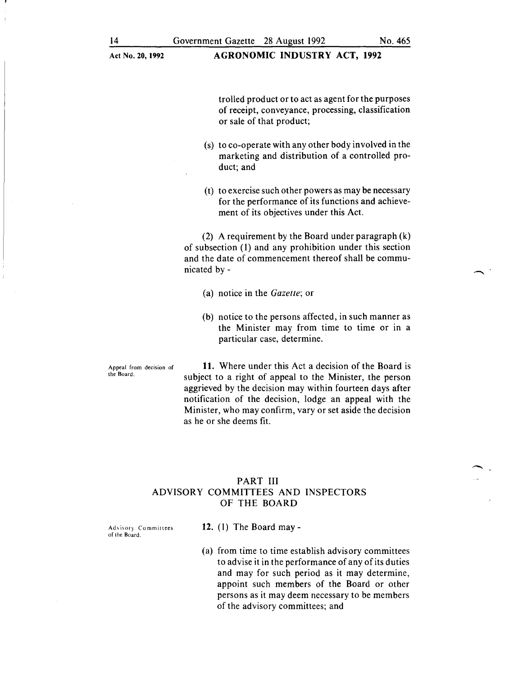trolled product or to act as agent for the purposes of receipt, conveyance, processing, classification or sale of that product;

- (s) to co-operate with any other body involved in the marketing and distribution of a controlled product; and
- (t) to exercise such other powers as may be necessary for the performance of its functions and achievement of its objectives under this Act.

(2) A requirement by the Board under paragraph (k) of subsection (l) and any prohibition under this section and the date of commencement thereof shall be communicated by-

- (a) notice in the *Gazette;* or
- (b) notice to the persons affected, in such manner as the Minister may from time to time or in a particular case, determine.

Appeal from decision of the Board.

**11.** Where under this Act a decision of the Board is subject to a right of appeal to the Minister, the person aggrieved by the decision may within fourteen days after notification of the decision, lodge an appeal with the Minister, who may confirm, vary or set aside the decision as he or she deems fit.

## PART III ADVISORY COMMITTEES AND INSPECTORS OF THE BOARD

**12.** ( 1) The Board may -

Advisory Committees of the Board.

> (a) from time to time establish advisory committees to advise it in the performance of any of its duties and may for such period as it may determine, appoint such members of the Board or other persons as it may deem necessary to be members of the advisory committees; and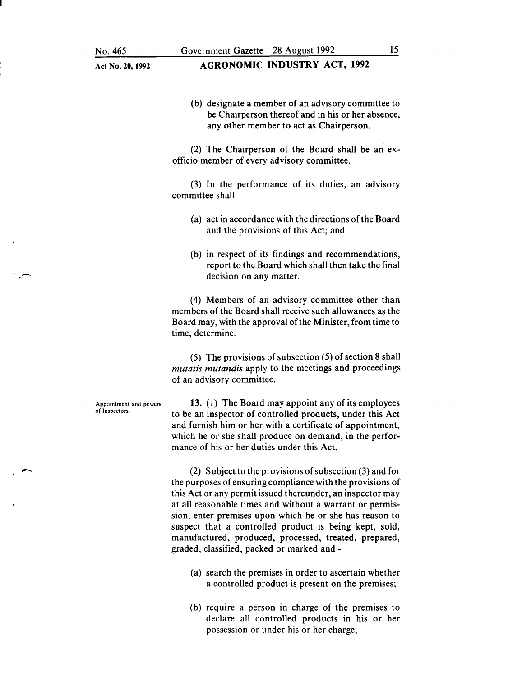(b) designate a member of an advisory committee to be Chairperson thereof and in his or her absence, any other member to act as Chairperson.

(2) The Chairperson of the Board shall be an exofficio member of every advisory committee.

(3) In the performance of its duties, an advisory committee shall -

- (a) act in accordance with the directions of the Board and the provisions of this Act; and
- (b) in respect of its findings and recommendations, report to the Board which shall then take the final decision on any matter.

(4) Members of an advisory committee other than members of the Board shall receive such allowances as the Board may, with the approval of the Minister, from time to time, determine.

(5) The provisions of subsection (5) of section 8 shall *mutatis mutandis* apply to the meetings and proceedings of an advisory committee.

Appointment and powers of Inspectors.

-

13. ( 1) The Board may appoint any of its employees to be an inspector of controlled products, under this Act and furnish him or her with a certificate of appointment, which he or she shall produce on demand, in the performance of his or her duties under this Act.

(2) Subject to the provisions of subsection (3) and for the purposes of ensuring compliance with the provisions of this Act or any permit issued thereunder, an inspector may at all reasonable times and without a warrant or permission, enter premises upon which he or she has reason to suspect that a controlled product is being kept, sold, manufactured, produced, processed, treated, prepared, graded, classified, packed or marked and -

- (a) search the premises in order to ascertain whether a controlled product is present on the premises;
- (b) require a person in charge of the premises to declare all controlled products in his or her possession or under his or her charge;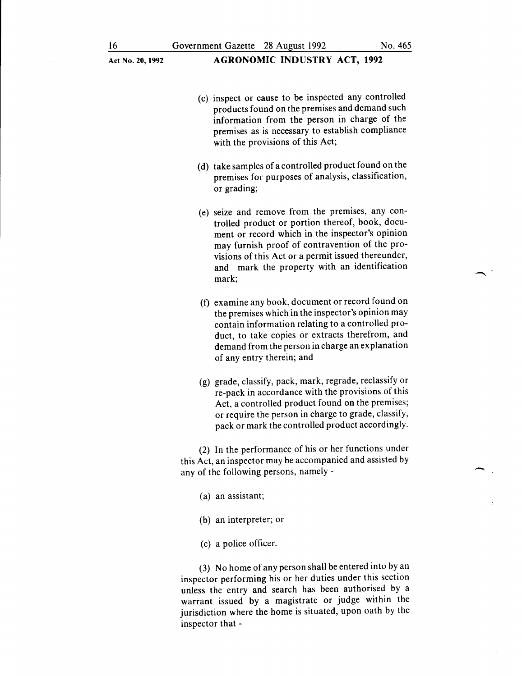### Act No. 20,1992 **AGRONOMIC INDUSTRY ACT, 1992**

- (c) inspect or cause to be inspected any controlled products found on the premises and demand such information from the person in charge of the premises as is necessary to establish compliance with the provisions of this Act;
- (d) take samples of a controlled product found on the premises for purposes of analysis, classification, or grading;
- (e) seize and remove from the premises, any controlled product or portion thereof, book, document or record which in the inspector's opinion may furnish proof of contravention of the provisions of this Act or a permit issued thereunder, and mark the property with an identification mark;
- (f) examine any book, document or record found on the premises which in the inspector's opinion may contain information relating to a controlled product, to take copies or extracts therefrom, and demand from the person in charge an explanation of any entry therein; and
- (g) grade, classify, pack, mark, regrade, reclassify or re-pack in accordance with the provisions of this Act, a controlled product found on the premises; or require the person in charge to grade, classify, pack or mark the controlled product accordingly.

(2) In the performance of his or her functions under this Act, an inspector may be accompanied and assisted by any of the following persons, namely -

- (a) an assistant;
- (b) an interpreter; or
- (c) a police officer.

(3) No home of any person shall be entered into by an inspector performing his or her duties under this section unless the entry and search has been authorised by a warrant issued by a magistrate or judge within the jurisdiction where the home is situated, upon oath by the inspector that -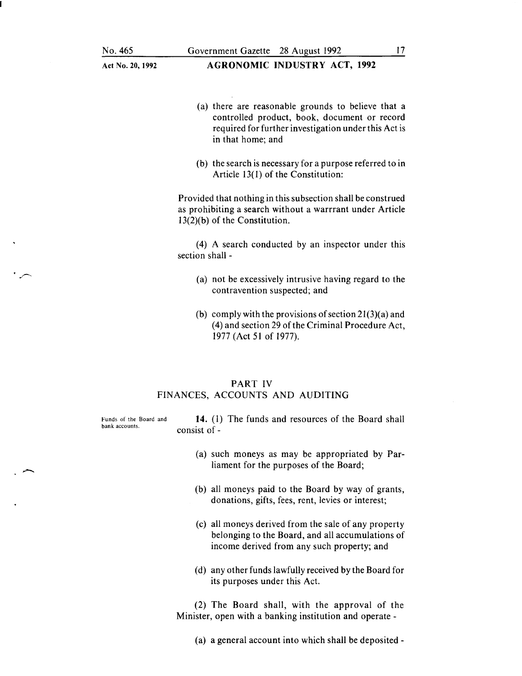- (a) there are reasonable grounds to believe that a controlled product, book, document or record required for further investigation under this Act is in that home; and
- (b) the search is necessary for a purpose referred to in Article 13(1) of the Constitution:

Provided that nothing in this subsection shall be construed as prohibiting a search without a warrrant under Article 13(2)(b) of the Constitution.

(4) A search conducted by an inspector under this section shall -

- (a) not be excessively intrusive having regard to the contravention suspected; and
- (b) comply with the provisions of section  $21(3)(a)$  and (4) and section 29 of the Criminal Procedure Act, 1977 (Act 51 of 1977).

### PART IV FINANCES, ACCOUNTS AND AUDITING

Funds of the Board and bank accounts.

**14.** (I) The funds and resources of the Board shall consist of-

- (a) such moneys as may be appropriated by Parliament for the purposes of the Board;
- (b) all moneys paid to the Board by way of grants, donations, gifts, fees, rent, levies or interest;
- (c) all moneys derived from the sale of any property belonging to the Board, and all accumulations of income derived from any such property; and
- (d) any other funds lawfully received by the Board for its purposes under this Act.

(2) The Board shall, with the approval of the Minister, open with a banking institution and operate -

(a) a general account into which shall be deposited-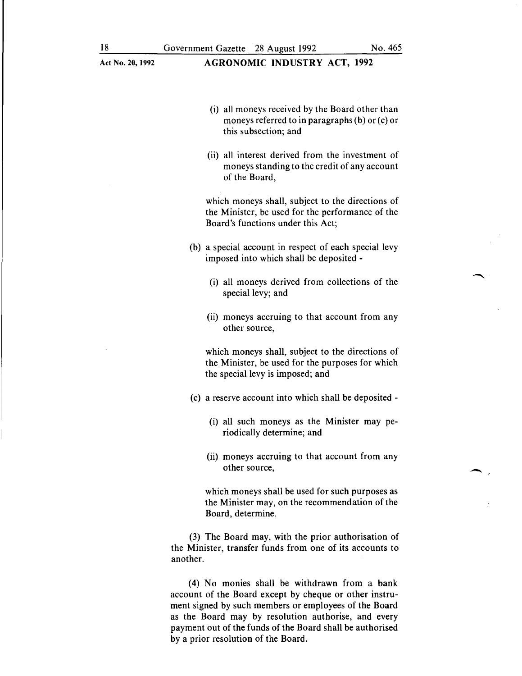### Act No. 20, 1992 **AGRONOMIC INDUSTRY ACT, 1992**

- (i) all moneys received by the Board other than moneys referred to in paragraphs (b) or (c) or this subsection; and
- (ii) all interest derived from the investment of moneys standing to the credit of any account of the Board,

which moneys shall, subject to the directions of the Minister, be used for the performance of the Board's functions under this Act;

- (b) a special account in respect of each special levy imposed into which shall be deposited -
	- (i) all moneys derived from collections of the special levy; and
	- (ii) moneys accruing to that account from any other source,

which moneys shall, subject to the directions of the Minister, be used for the purposes for which the special levy is imposed; and

- (c) a reserve account into which shall be deposited-
	- (i) all such moneys as the Minister may periodically determine; and
	- (ii) moneys accruing to that account from any other source,

which moneys shall be used for such purposes as the Minister may, on the recommendation of the Board, determine.

(3) The Board may, with the prior authorisation of the Minister, transfer funds from one of its accounts to another.

(4) No monies shall be withdrawn from a bank account of the Board except by cheque or other instrument signed by such members or employees of the Board as the Board may by resolution authorise, and every payment out of the funds of the Board shall be authorised by a prior resolution of the Board.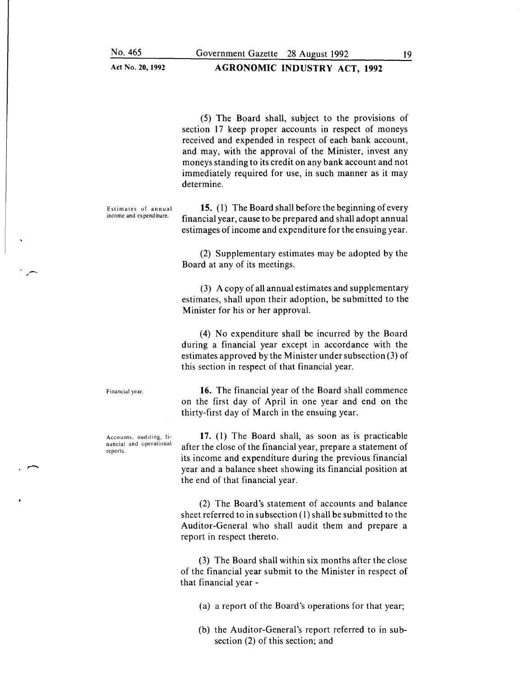(5) The Board shall, subject to the provisions of section 17 keep proper accounts in respect of moneys received and expended in respect of each bank account, and may, with the approval of the Minister, invest any moneys standing to its credit on any bank account and not immediately required for use, in such manner as it may determine.

Estimates of annual income and expenditure.

**15.** (1) The Board shall before the beginning of every financial year, cause to be prepared and shall adopt annual estimages of income and expenditure for the ensuing year.

(2) Supplementary estimates may be adopted by the Board at any of its meetings.

(3) A copy of all annual estimates and supplementary estimates, shall upon their adoption, be submitted to the Minister for his or her approval.

(4) No expenditure shall be incurred by the Board during a financial year except in accordance with the estimates approved by the Minister under subsection (3) of this section in respect of that financial year.

**16.** The financial year of the Board shall commence on the first day of April in one year and end on the thirty-first day of March in the ensuing year.

**17.** ( l) The Board shall, as soon as is practicable after the close of the financial year, prepare a statement of its income and expenditure during the previous financial year and a balance sheet showing its financial position at the end of that financial year.

(2) The Board's statement of accounts and balance sheet referred to in subsection (l) shall be submitted to the Auditor-General who shall audit them and prepare a report in respect thereto.

(3) The Board shall within six months after the close of the financial year submit to the Minister in respect of that financial year -

(a) a report of the Board's operations for that year;

(b) the Auditor-General's report referred to in subsection (2) of this section; and

Accounts, auditing, financial and operational reports.

Financial year.

 $\overline{\phantom{0}}$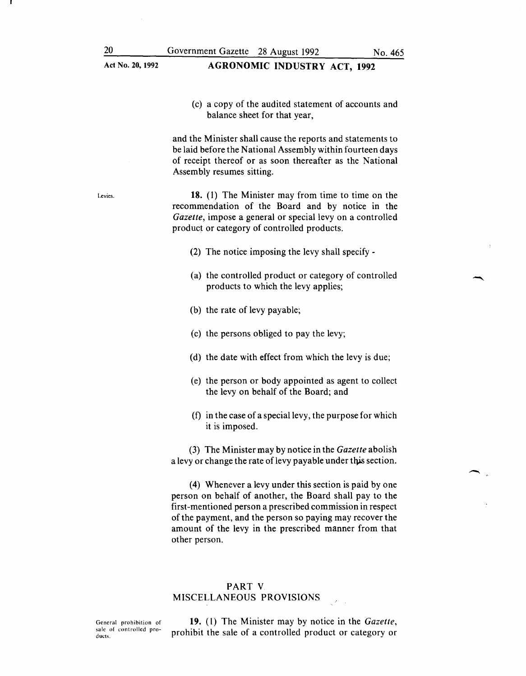(c) a copy of the audited statement of accounts and balance sheet for that year,

and the Minister shall cause the reports and statements to be laid before the National Assembly within fourteen days of receipt thereof or as soon thereafter as the National Assembly resumes sitting.

18. (1) The Minister may from time to time on the recommendation of the Board and by notice in the *Gazette*, impose a general or special levy on a controlled product or category of controlled products.

- (2) The notice imposing the levy shall specify -
- (a) the controlled product or category of controlled products to which the levy applies;
- (b) the rate of levy payable;
- (c) the persons obliged to pay the levy;
- (d) the date with effect from which the levy is due;
- (e) the person or body appointed as agent to collect the levy on behalf of the Board; and
- (f) in the case of a special levy, the purpose for which it is imposed.

(3) The Minister may by notice in the *Gazette* abolish a levy or change the rate of levy payable under this section.

(4) Whenever a levy under this section is paid by one person on behalf of another, the Board shall pay to the first-mentioned person a prescribed commission in respect of the payment, and the person so paying may recover the amount of the levy in the prescribed manner from that other person.

## PART V MISCELLANEOUS PROVISIONS

General prohibition of sale of controlled products.

19. (1) The Minister may by notice in the *Gazette,*  prohibit the sale of a controlled product or category or

Levies.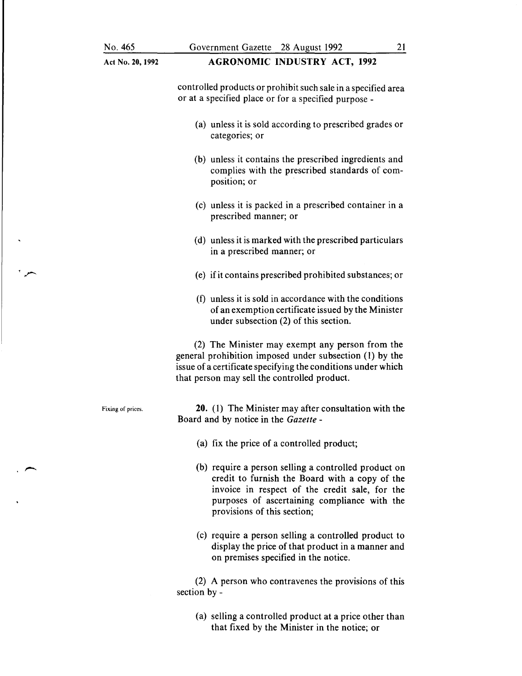$\cdot$   $\sim$ 

 $\rightarrow$ 

| Act No. 20, 1992  | <b>AGRONOMIC INDUSTRY ACT, 1992</b>                                                                                                                                                                                                     |
|-------------------|-----------------------------------------------------------------------------------------------------------------------------------------------------------------------------------------------------------------------------------------|
|                   | controlled products or prohibit such sale in a specified area<br>or at a specified place or for a specified purpose -                                                                                                                   |
|                   | (a) unless it is sold according to prescribed grades or<br>categories; or                                                                                                                                                               |
|                   | (b) unless it contains the prescribed ingredients and<br>complies with the prescribed standards of com-<br>position; or                                                                                                                 |
|                   | (c) unless it is packed in a prescribed container in a<br>prescribed manner; or                                                                                                                                                         |
|                   | (d) unless it is marked with the prescribed particulars<br>in a prescribed manner; or                                                                                                                                                   |
|                   | (e) if it contains prescribed prohibited substances; or                                                                                                                                                                                 |
|                   | (f) unless it is sold in accordance with the conditions<br>of an exemption certificate issued by the Minister<br>under subsection (2) of this section.                                                                                  |
|                   | (2) The Minister may exempt any person from the<br>general prohibition imposed under subsection (1) by the<br>issue of a certificate specifying the conditions under which<br>that person may sell the controlled product.              |
| Fixing of prices. | 20. (1) The Minister may after consultation with the<br>Board and by notice in the Gazette -                                                                                                                                            |
|                   | (a) fix the price of a controlled product;                                                                                                                                                                                              |
|                   | (b) require a person selling a controlled product on<br>credit to furnish the Board with a copy of the<br>invoice in respect of the credit sale, for the<br>purposes of ascertaining compliance with the<br>provisions of this section; |
|                   | (c) require a person selling a controlled product to<br>display the price of that product in a manner and<br>on premises specified in the notice.                                                                                       |
|                   | (2) A person who contravenes the provisions of this<br>section by -                                                                                                                                                                     |
|                   | (a) selling a controlled product at a price other than                                                                                                                                                                                  |

that fixed by the Minister in the notice; or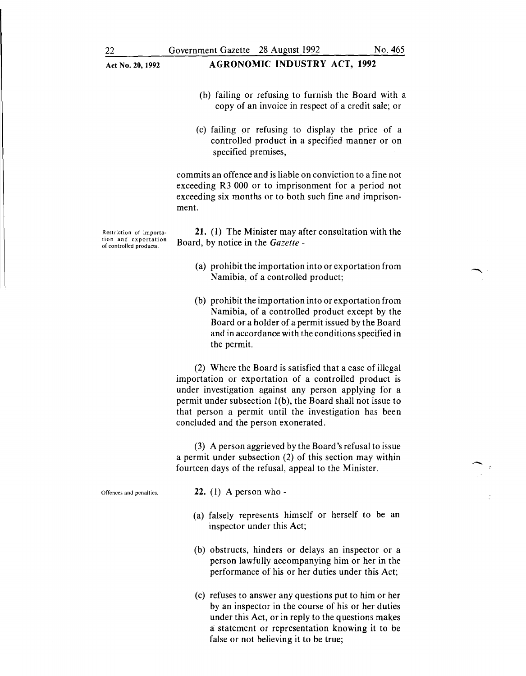### Act No. 20, 1992 **AGRONOMIC INDUSTRY ACT, 1992**

- (b) failing or refusing to furnish the Board with a copy of an invoice in respect of a credit sale; or
- (c) failing or refusing to display the price of a controlled product in a specified manner or on specified premises.

commits an offence and is liable on conviction to a fine not exceeding R3 000 or to imprisonment for a period not exceeding six months or to both such fine and imprisonment.

**21.** (I) The Minister may after consultation with the Board, by notice in the *Gazette* -

- (a) prohibit the importation into or exportation from Namibia, of a controlled product;
- (b) prohibit the importation into or exportation from Namibia, of a controlled product except by the Board or a holder of a permit issued by the Board and in accordance with the conditions specified in the permit.

(2) Where the Board is satisfied that a case of illegal importation or exportation of a controlled product is under investigation against any person applying for a permit under subsection  $l(b)$ , the Board shall not issue to that person a permit until the investigation has been concluded and the person exonerated.

(3) A person aggrieved by the Board's refusal to issue a permit under subsection (2) of this section may within fourteen days of the refusal, appeal to the Minister.

Offences and penalties.

**22.** (1) A person who-

- (a) falsely represents himself or herself to be an inspector under this Act;
- (b) obstructs, hinders or delays an inspector or a person lawfully accompanying him or her in the performance of his or her duties under this Act;
- (c) refuses to answer any questions put to him or her by an inspector in the course of his or her duties under this Act, or in reply to the questions makes a statement or representation knowing it to be false or not believing it to be true;

Restriction of importation and exportation of controlled products.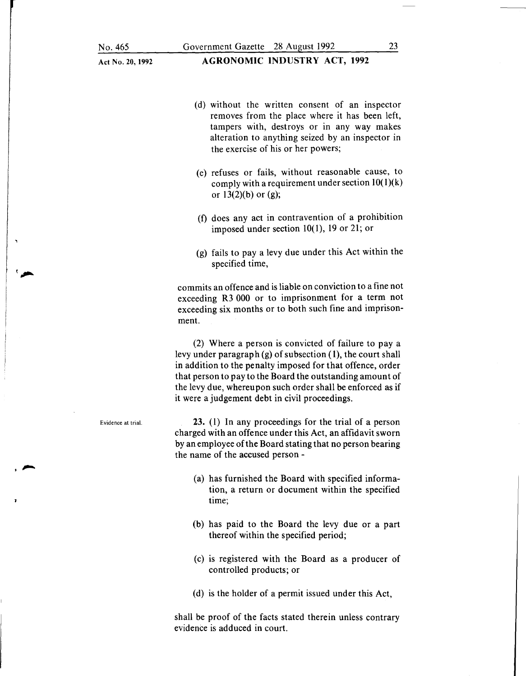- (d) without the written consent of an inspector removes from the place where it has been left, tampers with, destroys or in any way makes alteration to anything seized by an inspector in the exercise of his or her powers;
- (e) refuses or fails, without reasonable cause, to comply with a requirement under section  $10(1)(k)$ or  $13(2)(b)$  or  $(g)$ ;
- (f) does any act in contravention of a prohibition imposed under section 10(1), 19 or 21; or
- (g) fails to pay a levy due under this Act within the specified time,

commits an offence and is liable on conviction to a fine not exceeding R3 000 or to imprisonment for a term not exceeding six months or to both such fine and imprisonment.

(2) Where a person is convicted of failure to pay a levy under paragraph (g) of subsection ( **1),** the court shall in addition to the penalty imposed for that offence, order that person to pay to the Board the outstanding amount of the levy due, whereupon such order shall be enforced as if it were a judgement debt in civil proceedings.

**23. ( 1)** In any proceedings for the trial of a person charged with an offence under this Act, an affidavit sworn by an employee of the Board stating that no person bearing the name of the accused person -

- (a) has furnished the Board with specified information, a return or document within the specified time;
- (b) has paid to the Board the levy due or a part thereof within the specified period;
- (c) is registered with the Board as a producer of controlled products; or
- (d) is the holder of a permit issued under this Act,

shall be proof of the facts stated therein unless contrary evidence is adduced in court.

Evidence at trial.

 $\overline{\phantom{0}}$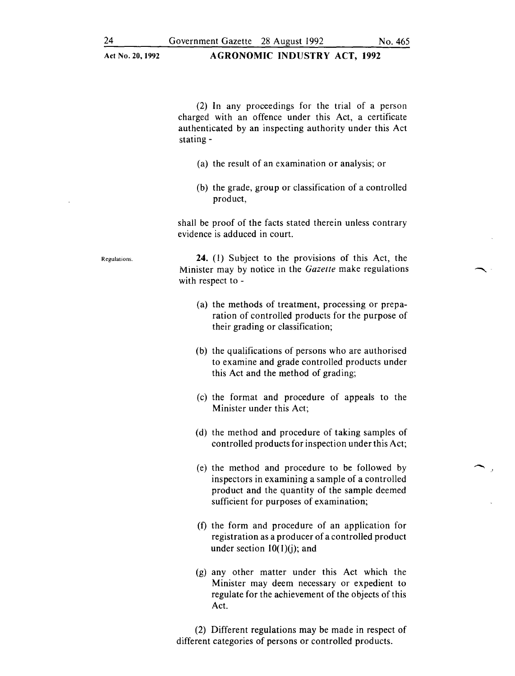24 Government Gazette 28 August 1992 No. 465

(2) In any proceedings for the trial of a person charged with an offence under this Act, a certificate authenticated by an inspecting authority under this Act stating-

- (a) the result of an examination or analysis; or
- (b) the grade, group or classification of a controlled product,

shall be proof of the facts stated therein unless contrary evidence is adduced in court.

Regulations.

24. (I) Subject to the provisions of this Act, the Minister may by notice in the *Gazette* make regulations with respect to -

- (a) the methods of treatment, processing or preparation of controlled products for the purpose of their grading or classification;
- (b) the qualifications of persons who are authorised to examine and grade controlled products under this Act and the method of grading;
- (c) the format and procedure of appeals to the Minister under this Act;
- (d) the method and procedure of taking samples of controlled products for inspection under this Act;
- (e) the method and procedure to be followed by inspectors in examining a sample of a controlled product and the quantity of the sample deemed sufficient for purposes of examination;
- (f) the form and procedure of an application for registration as a producer of a controlled product under section  $10(1)(i)$ ; and
- (g) any other matter under this Act which the Minister may deem necessary or expedient to regulate for the achievement of the objects of this Act.

(2) Different regulations may be made in respect of different categories of persons or controlled products.

·'